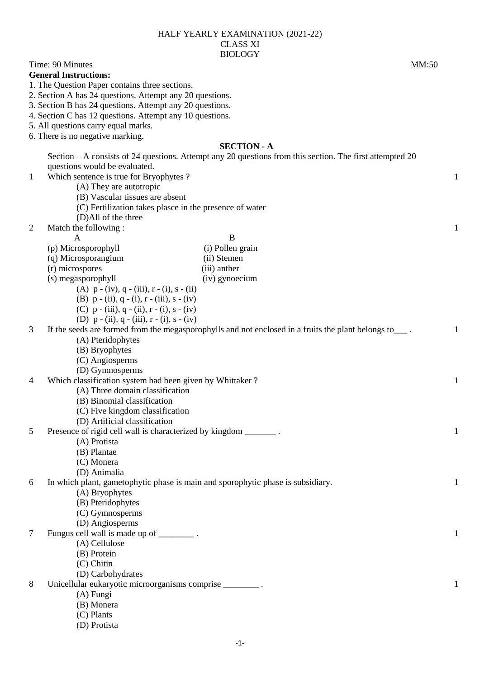| HALF YEARLY EXAMINATION (2021-22) |
|-----------------------------------|
| CLASS XI                          |
| <b>BIOLOGY</b>                    |

| Time: 90 Minutes                                                                     |                                                                                                          | MM:50        |  |  |
|--------------------------------------------------------------------------------------|----------------------------------------------------------------------------------------------------------|--------------|--|--|
| <b>General Instructions:</b>                                                         |                                                                                                          |              |  |  |
| 1. The Question Paper contains three sections.                                       |                                                                                                          |              |  |  |
|                                                                                      | 2. Section A has 24 questions. Attempt any 20 questions.                                                 |              |  |  |
| 3. Section B has 24 questions. Attempt any 20 questions.                             |                                                                                                          |              |  |  |
| 4. Section C has 12 questions. Attempt any 10 questions.                             |                                                                                                          |              |  |  |
| 5. All questions carry equal marks.                                                  |                                                                                                          |              |  |  |
| 6. There is no negative marking.                                                     |                                                                                                          |              |  |  |
|                                                                                      | <b>SECTION - A</b>                                                                                       |              |  |  |
|                                                                                      | Section - A consists of 24 questions. Attempt any 20 questions from this section. The first attempted 20 |              |  |  |
| questions would be evaluated.                                                        |                                                                                                          |              |  |  |
| Which sentence is true for Bryophytes?<br>$\mathbf{1}$                               |                                                                                                          | $\mathbf{1}$ |  |  |
| (A) They are autotropic                                                              |                                                                                                          |              |  |  |
| (B) Vascular tissues are absent                                                      |                                                                                                          |              |  |  |
| (C) Fertilization takes plasce in the presence of water                              |                                                                                                          |              |  |  |
| (D)All of the three                                                                  |                                                                                                          |              |  |  |
| $\overline{2}$<br>Match the following:                                               |                                                                                                          | $\mathbf{1}$ |  |  |
| $\mathbf{A}$                                                                         | B                                                                                                        |              |  |  |
| (p) Microsporophyll                                                                  | (i) Pollen grain                                                                                         |              |  |  |
| (q) Microsporangium                                                                  | (ii) Stemen                                                                                              |              |  |  |
| (r) microspores                                                                      | (iii) anther                                                                                             |              |  |  |
| (s) megasporophyll                                                                   | (iv) gynoecium                                                                                           |              |  |  |
| (A) $p - (iv)$ , $q - (iii)$ , $r - (i)$ , $s - (ii)$                                |                                                                                                          |              |  |  |
| (B) $p - (ii)$ , $q - (i)$ , $r - (iii)$ , $s - (iv)$                                |                                                                                                          |              |  |  |
| (C) $p - (iii)$ , $q - (ii)$ , $r - (i)$ , $s - (iv)$                                |                                                                                                          |              |  |  |
| (D) $p - (ii)$ , $q - (iii)$ , $r - (i)$ , $s - (iv)$                                |                                                                                                          |              |  |  |
| 3                                                                                    | If the seeds are formed from the megasporophylls and not enclosed in a fruits the plant belongs to___.   | 1            |  |  |
| (A) Pteridophytes                                                                    |                                                                                                          |              |  |  |
|                                                                                      |                                                                                                          |              |  |  |
| (B) Bryophytes                                                                       |                                                                                                          |              |  |  |
| (C) Angiosperms                                                                      |                                                                                                          |              |  |  |
| (D) Gymnosperms                                                                      |                                                                                                          |              |  |  |
| Which classification system had been given by Whittaker?<br>$\overline{4}$           |                                                                                                          | 1            |  |  |
| (A) Three domain classification                                                      |                                                                                                          |              |  |  |
| (B) Binomial classification                                                          |                                                                                                          |              |  |  |
| (C) Five kingdom classification                                                      |                                                                                                          |              |  |  |
| (D) Artificial classification                                                        |                                                                                                          |              |  |  |
| Presence of rigid cell wall is characterized by kingdom ________.<br>5               |                                                                                                          | $\mathbf{1}$ |  |  |
| (A) Protista                                                                         |                                                                                                          |              |  |  |
| (B) Plantae                                                                          |                                                                                                          |              |  |  |
| (C) Monera                                                                           |                                                                                                          |              |  |  |
| (D) Animalia                                                                         |                                                                                                          |              |  |  |
| In which plant, gametophytic phase is main and sporophytic phase is subsidiary.<br>6 |                                                                                                          | 1            |  |  |
| (A) Bryophytes                                                                       |                                                                                                          |              |  |  |
| (B) Pteridophytes                                                                    |                                                                                                          |              |  |  |
| (C) Gymnosperms                                                                      |                                                                                                          |              |  |  |
| (D) Angiosperms                                                                      |                                                                                                          |              |  |  |
| Fungus cell wall is made up of _________.<br>7                                       |                                                                                                          | 1            |  |  |
| (A) Cellulose                                                                        |                                                                                                          |              |  |  |
| (B) Protein                                                                          |                                                                                                          |              |  |  |
| (C) Chitin                                                                           |                                                                                                          |              |  |  |
| (D) Carbohydrates                                                                    |                                                                                                          |              |  |  |
| Unicellular eukaryotic microorganisms comprise _________.<br>8                       |                                                                                                          | 1            |  |  |
| (A) Fungi                                                                            |                                                                                                          |              |  |  |
| (B) Monera                                                                           |                                                                                                          |              |  |  |
| (C) Plants                                                                           |                                                                                                          |              |  |  |

(D) Protista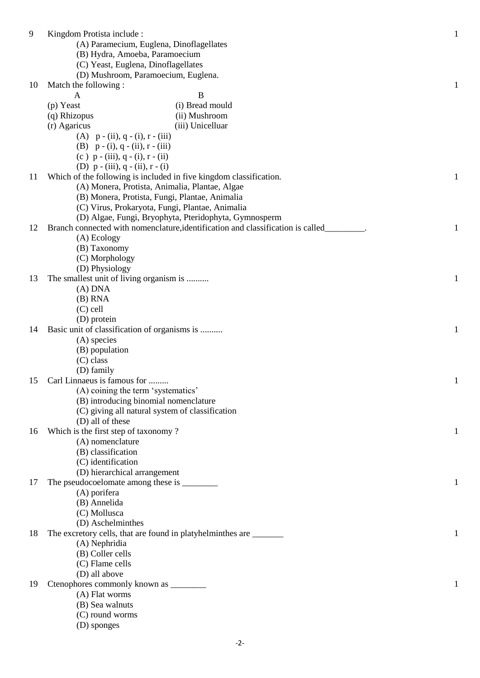| 9  | Kingdom Protista include:                                          |                                                                                 | $\mathbf{1}$ |
|----|--------------------------------------------------------------------|---------------------------------------------------------------------------------|--------------|
|    | (A) Paramecium, Euglena, Dinoflagellates                           |                                                                                 |              |
|    | (B) Hydra, Amoeba, Paramoecium                                     |                                                                                 |              |
|    | (C) Yeast, Euglena, Dinoflagellates                                |                                                                                 |              |
|    | (D) Mushroom, Paramoecium, Euglena.                                |                                                                                 |              |
| 10 | Match the following:                                               |                                                                                 | $\mathbf{1}$ |
|    |                                                                    | B                                                                               |              |
|    | A                                                                  |                                                                                 |              |
|    | (p) Yeast                                                          | (i) Bread mould                                                                 |              |
|    | (q) Rhizopus                                                       | (ii) Mushroom                                                                   |              |
|    | (r) Agaricus                                                       | (iii) Unicelluar                                                                |              |
|    | (A) $p - (ii)$ , $q - (i)$ , $r - (iii)$                           |                                                                                 |              |
|    | (B) $p - (i)$ , q - (ii), r - (iii)                                |                                                                                 |              |
|    | (c) $p - (iii)$ , $q - (i)$ , $r - (ii)$                           |                                                                                 |              |
|    | (D) $p - (iii)$ , $q - (ii)$ , $r - (i)$                           |                                                                                 |              |
| 11 | Which of the following is included in five kingdom classification. |                                                                                 | $\mathbf{1}$ |
|    | (A) Monera, Protista, Animalia, Plantae, Algae                     |                                                                                 |              |
|    | (B) Monera, Protista, Fungi, Plantae, Animalia                     |                                                                                 |              |
|    | (C) Virus, Prokaryota, Fungi, Plantae, Animalia                    |                                                                                 |              |
|    |                                                                    | (D) Algae, Fungi, Bryophyta, Pteridophyta, Gymnosperm                           |              |
| 12 |                                                                    | Branch connected with nomenclature, identification and classification is called |              |
|    |                                                                    |                                                                                 | 1            |
|    | (A) Ecology                                                        |                                                                                 |              |
|    | (B) Taxonomy                                                       |                                                                                 |              |
|    | (C) Morphology                                                     |                                                                                 |              |
|    | (D) Physiology                                                     |                                                                                 |              |
| 13 | The smallest unit of living organism is                            |                                                                                 | $\mathbf{1}$ |
|    | $(A)$ DNA                                                          |                                                                                 |              |
|    | $(B)$ RNA                                                          |                                                                                 |              |
|    | $(C)$ cell                                                         |                                                                                 |              |
|    | (D) protein                                                        |                                                                                 |              |
| 14 | Basic unit of classification of organisms is                       |                                                                                 | 1            |
|    | (A) species                                                        |                                                                                 |              |
|    | (B) population                                                     |                                                                                 |              |
|    | $(C)$ class                                                        |                                                                                 |              |
|    | (D) family                                                         |                                                                                 |              |
| 15 | Carl Linnaeus is famous for                                        |                                                                                 |              |
|    |                                                                    |                                                                                 | 1            |
|    | (A) coining the term 'systematics'                                 |                                                                                 |              |
|    | (B) introducing binomial nomenclature                              |                                                                                 |              |
|    | (C) giving all natural system of classification                    |                                                                                 |              |
|    | (D) all of these                                                   |                                                                                 |              |
| 16 | Which is the first step of taxonomy?                               |                                                                                 | 1            |
|    | (A) nomenclature                                                   |                                                                                 |              |
|    | (B) classification                                                 |                                                                                 |              |
|    | (C) identification                                                 |                                                                                 |              |
|    | (D) hierarchical arrangement                                       |                                                                                 |              |
| 17 |                                                                    |                                                                                 | 1            |
|    | (A) porifera                                                       |                                                                                 |              |
|    | (B) Annelida                                                       |                                                                                 |              |
|    | (C) Mollusca                                                       |                                                                                 |              |
|    | (D) Aschelminthes                                                  |                                                                                 |              |
| 18 | The excretory cells, that are found in platyhelminthes are ______  |                                                                                 | 1            |
|    |                                                                    |                                                                                 |              |
|    | (A) Nephridia                                                      |                                                                                 |              |
|    | (B) Coller cells                                                   |                                                                                 |              |
|    | (C) Flame cells                                                    |                                                                                 |              |
|    | (D) all above                                                      |                                                                                 |              |
| 19 |                                                                    |                                                                                 | 1            |
|    | (A) Flat worms                                                     |                                                                                 |              |
|    | (B) Sea walnuts                                                    |                                                                                 |              |
|    | (C) round worms                                                    |                                                                                 |              |
|    | (D) sponges                                                        |                                                                                 |              |
|    |                                                                    |                                                                                 |              |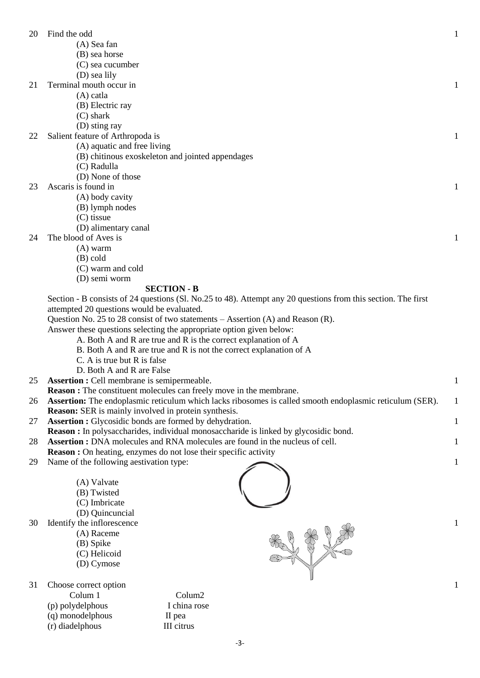| 20 | Find the odd                                                                                                  | 1            |
|----|---------------------------------------------------------------------------------------------------------------|--------------|
|    | (A) Sea fan                                                                                                   |              |
|    | (B) sea horse                                                                                                 |              |
|    | (C) sea cucumber                                                                                              |              |
|    | (D) sea lily                                                                                                  |              |
| 21 | Terminal mouth occur in                                                                                       | 1            |
|    | $(A)$ catla                                                                                                   |              |
|    | (B) Electric ray                                                                                              |              |
|    | $(C)$ shark                                                                                                   |              |
|    | (D) sting ray                                                                                                 |              |
| 22 | Salient feature of Arthropoda is                                                                              | $\mathbf{1}$ |
|    | (A) aquatic and free living                                                                                   |              |
|    | (B) chitinous exoskeleton and jointed appendages                                                              |              |
|    | (C) Radulla                                                                                                   |              |
|    | (D) None of those                                                                                             |              |
| 23 | Ascaris is found in                                                                                           | 1            |
|    | (A) body cavity                                                                                               |              |
|    | (B) lymph nodes                                                                                               |              |
|    | (C) tissue                                                                                                    |              |
|    | (D) alimentary canal                                                                                          |              |
| 24 | The blood of Aves is                                                                                          | 1            |
|    | $(A)$ warm                                                                                                    |              |
|    | $(B)$ cold<br>(C) warm and cold                                                                               |              |
|    | (D) semi worm                                                                                                 |              |
|    | <b>SECTION - B</b>                                                                                            |              |
|    | Section - B consists of 24 questions (Sl. No.25 to 48). Attempt any 20 questions from this section. The first |              |
|    | attempted 20 questions would be evaluated.                                                                    |              |
|    | Question No. 25 to 28 consist of two statements $-$ Assertion (A) and Reason (R).                             |              |
|    | Answer these questions selecting the appropriate option given below:                                          |              |
|    | A. Both A and R are true and R is the correct explanation of A                                                |              |
|    | B. Both A and R are true and R is not the correct explanation of A                                            |              |
|    | C. A is true but R is false                                                                                   |              |
|    | D. Both A and R are False                                                                                     |              |
| 25 | <b>Assertion :</b> Cell membrane is semipermeable.                                                            | 1            |
|    | <b>Reason :</b> The constituent molecules can freely move in the membrane.                                    |              |
| 26 | Assertion: The endoplasmic reticulum which lacks ribosomes is called smooth endoplasmic reticulum (SER).      | 1            |
|    | <b>Reason:</b> SER is mainly involved in protein synthesis.                                                   |              |
| 27 | <b>Assertion :</b> Glycosidic bonds are formed by dehydration.                                                | 1            |
|    | <b>Reason :</b> In polysaccharides, individual monosaccharide is linked by glycosidic bond.                   |              |
| 28 | <b>Assertion :</b> DNA molecules and RNA molecules are found in the nucleus of cell.                          | 1            |
|    | <b>Reason :</b> On heating, enzymes do not lose their specific activity                                       |              |
| 29 | Name of the following aestivation type:                                                                       | $\mathbf{1}$ |
|    |                                                                                                               |              |
|    | (A) Valvate                                                                                                   |              |
|    | (B) Twisted                                                                                                   |              |
|    | (C) Imbricate                                                                                                 |              |
|    | (D) Quincuncial                                                                                               |              |
| 30 | Identify the inflorescence                                                                                    | 1            |
|    | (A) Raceme                                                                                                    |              |
|    | (B) Spike                                                                                                     |              |
|    | (C) Helicoid                                                                                                  |              |
|    | (D) Cymose                                                                                                    |              |
|    |                                                                                                               |              |

- 31 Choose correct option
	- Colum 1 Colum2
	- (p) polydelphous I china rose
	- (q) monodelphous II pea
	- (r) diadelphous III citrus
- 

1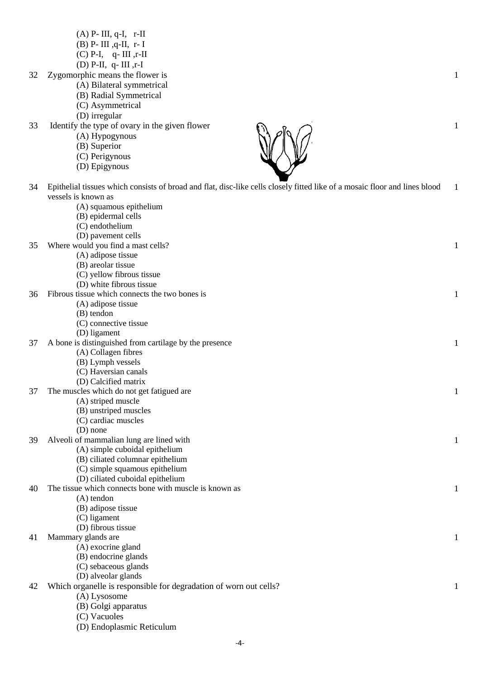- (A) P- III, q-I, r-II
- $(B)$  P- III , $q$ -II, r- I
- $(C)$  P-I,  $q$  III ,r-II
- (D) P-II, q- III ,r-I
- 32 Zygomorphic means the flower is
	- (A) Bilateral symmetrical (B) Radial Symmetrical
		-
	- (C) Asymmetrical
	- (D) irregular
- 33 Identify the type of ovary in the given flower
	- (A) Hypogynous
	- (B) Superior
	- (C) Perigynous
	- (D) Epigynous

(C) Vacuoles

(D) Endoplasmic Reticulum

| 34 | Epithelial tissues which consists of broad and flat, disc-like cells closely fitted like of a mosaic floor and lines blood<br>vessels is known as | 1 |
|----|---------------------------------------------------------------------------------------------------------------------------------------------------|---|
|    | (A) squamous epithelium                                                                                                                           |   |
|    | (B) epidermal cells                                                                                                                               |   |
|    | (C) endothelium                                                                                                                                   |   |
|    | (D) pavement cells                                                                                                                                |   |
| 35 | Where would you find a mast cells?                                                                                                                |   |
|    | (A) adipose tissue                                                                                                                                |   |
|    | (B) areolar tissue                                                                                                                                |   |
|    | (C) yellow fibrous tissue                                                                                                                         |   |
|    | (D) white fibrous tissue                                                                                                                          |   |
| 36 | Fibrous tissue which connects the two bones is                                                                                                    |   |
|    | (A) adipose tissue                                                                                                                                |   |
|    | (B) tendon                                                                                                                                        |   |
|    | (C) connective tissue                                                                                                                             |   |
|    | (D) ligament                                                                                                                                      |   |
| 37 | A bone is distinguished from cartilage by the presence                                                                                            |   |
|    | (A) Collagen fibres                                                                                                                               |   |
|    | (B) Lymph vessels                                                                                                                                 |   |
|    | (C) Haversian canals                                                                                                                              |   |
|    | (D) Calcified matrix                                                                                                                              |   |
| 37 | The muscles which do not get fatigued are                                                                                                         | 1 |
|    | (A) striped muscle                                                                                                                                |   |
|    | (B) unstriped muscles                                                                                                                             |   |
|    | (C) cardiac muscles                                                                                                                               |   |
|    | $(D)$ none                                                                                                                                        |   |
| 39 | Alveoli of mammalian lung are lined with                                                                                                          |   |
|    | (A) simple cuboidal epithelium                                                                                                                    |   |
|    | (B) ciliated columnar epithelium                                                                                                                  |   |
|    | (C) simple squamous epithelium                                                                                                                    |   |
|    | (D) ciliated cuboidal epithelium                                                                                                                  |   |
| 40 | The tissue which connects bone with muscle is known as                                                                                            |   |
|    | $(A)$ tendon                                                                                                                                      |   |
|    | (B) adipose tissue                                                                                                                                |   |
|    | (C) ligament                                                                                                                                      |   |
|    | (D) fibrous tissue                                                                                                                                |   |
| 41 | Mammary glands are                                                                                                                                |   |
|    | (A) exocrine gland                                                                                                                                |   |
|    | (B) endocrine glands                                                                                                                              |   |
|    | (C) sebaceous glands                                                                                                                              |   |
|    | (D) alveolar glands                                                                                                                               |   |
| 42 | Which organelle is responsible for degradation of worn out cells?                                                                                 |   |
|    | (A) Lysosome                                                                                                                                      |   |
|    | (B) Golgi apparatus                                                                                                                               |   |



1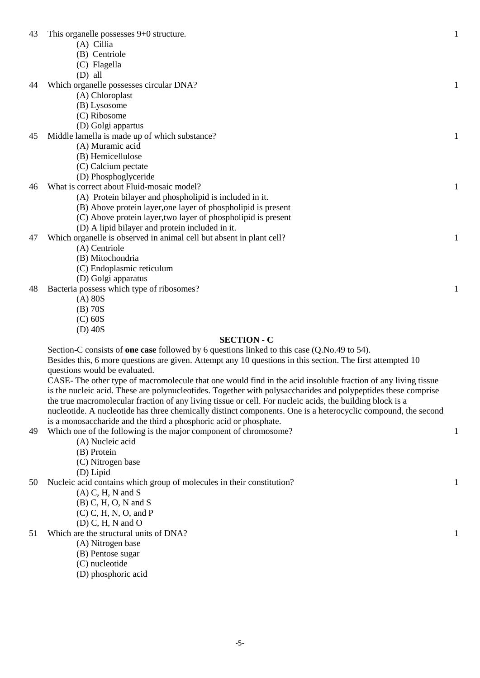| 43 | This organelle possesses 9+0 structure.                                                            | 1            |
|----|----------------------------------------------------------------------------------------------------|--------------|
|    | (A) Cillia                                                                                         |              |
|    | (B) Centriole                                                                                      |              |
|    | (C) Flagella                                                                                       |              |
|    | $(D)$ all                                                                                          |              |
| 44 | Which organelle possesses circular DNA?                                                            | 1            |
|    | (A) Chloroplast                                                                                    |              |
|    | (B) Lysosome                                                                                       |              |
|    | (C) Ribosome                                                                                       |              |
|    | (D) Golgi appartus                                                                                 |              |
| 45 | Middle lamella is made up of which substance?                                                      | 1            |
|    | (A) Muramic acid                                                                                   |              |
|    | (B) Hemicellulose                                                                                  |              |
|    | (C) Calcium pectate                                                                                |              |
|    | (D) Phosphoglyceride                                                                               |              |
| 46 | What is correct about Fluid-mosaic model?                                                          | 1            |
|    | (A) Protein bilayer and phospholipid is included in it.                                            |              |
|    | (B) Above protein layer, one layer of phospholipid is present                                      |              |
|    | (C) Above protein layer, two layer of phospholipid is present                                      |              |
|    | (D) A lipid bilayer and protein included in it.                                                    |              |
| 47 | Which organelle is observed in animal cell but absent in plant cell?                               | $\mathbf{1}$ |
|    | (A) Centriole                                                                                      |              |
|    | (B) Mitochondria                                                                                   |              |
|    | (C) Endoplasmic reticulum                                                                          |              |
|    | (D) Golgi apparatus                                                                                |              |
| 48 | Bacteria possess which type of ribosomes?                                                          | $\mathbf{1}$ |
|    | $(A)$ 80S                                                                                          |              |
|    | $(B)$ 70S                                                                                          |              |
|    | $(C)$ 60S                                                                                          |              |
|    | $(D)$ 40S                                                                                          |              |
|    | <b>SECTION - C</b>                                                                                 |              |
|    | Section-C consists of <b>one case</b> followed by 6 questions linked to this case (Q.No.49 to 54). |              |

1

1

1

Besides this, 6 more questions are given. Attempt any 10 questions in this section. The first attempted 10 questions would be evaluated. CASE- The other type of macromolecule that one would find in the acid insoluble fraction of any living tissue

is the nucleic acid. These are polynucleotides. Together with polysaccharides and polypeptides these comprise the true macromolecular fraction of any living tissue or cell. For nucleic acids, the building block is a nucleotide. A nucleotide has three chemically distinct components. One is a heterocyclic compound, the second is a monosaccharide and the third a phosphoric acid or phosphate.

- 49 Which one of the following is the major component of chromosome?
	- (A) Nucleic acid
	- (B) Protein
	- (C) Nitrogen base
	- (D) Lipid

50 Nucleic acid contains which group of molecules in their constitution?

- $(A)$  C, H, N and S
- (B) C, H, O, N and S
- (C) C, H, N, O, and P
- (D) C, H, N and O
- 51 Which are the structural units of DNA?
	- (A) Nitrogen base
	- (B) Pentose sugar
	- (C) nucleotide
	- (D) phosphoric acid